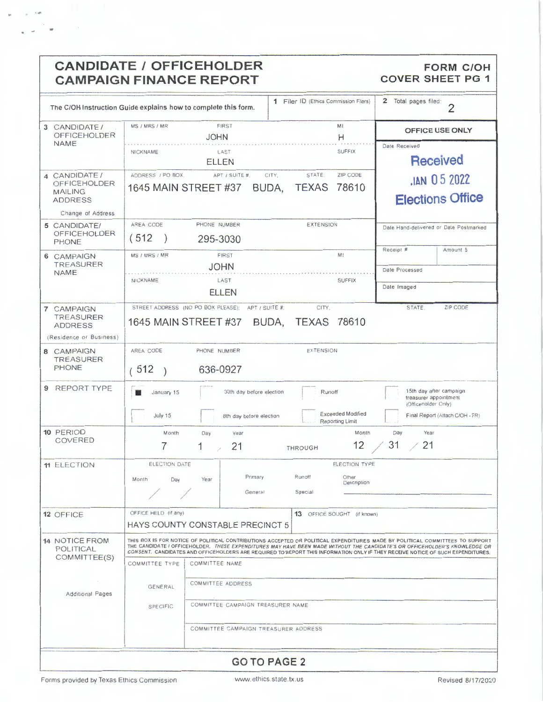| <b>CANDIDATE / OFFICEHOLDER</b><br><b>CAMPAIGN FINANCE REPORT</b>                                       |                                                                                                                                                                                                                                                                                                                                                                                                                                          |                                              |                                                     |                            |                                       |                                        | <b>FORM C/OH</b><br><b>COVER SHEET PG 1</b>                                                                |  |  |
|---------------------------------------------------------------------------------------------------------|------------------------------------------------------------------------------------------------------------------------------------------------------------------------------------------------------------------------------------------------------------------------------------------------------------------------------------------------------------------------------------------------------------------------------------------|----------------------------------------------|-----------------------------------------------------|----------------------------|---------------------------------------|----------------------------------------|------------------------------------------------------------------------------------------------------------|--|--|
| 1 Filer ID (Ethics Commission Filers)<br>The C/OH Instruction Guide explains how to complete this form. |                                                                                                                                                                                                                                                                                                                                                                                                                                          |                                              |                                                     |                            |                                       | 2 Total pages filed:<br>$\overline{2}$ |                                                                                                            |  |  |
| 3 CANDIDATE/<br><b>OFFICEHOLDER</b>                                                                     | <b>FIRST</b><br>MS / MRS / MR<br>JOHN                                                                                                                                                                                                                                                                                                                                                                                                    |                                              |                                                     | MI<br>н                    |                                       | OFFICE USE ONLY                        |                                                                                                            |  |  |
| <b>NAME</b>                                                                                             | <b>SUFFIX</b><br>LAST<br><b>NICKNAME</b><br>ELLEN                                                                                                                                                                                                                                                                                                                                                                                        |                                              |                                                     |                            |                                       | Date Received<br><b>Received</b>       |                                                                                                            |  |  |
| 4 CANDIDATE /<br>OFFICEHOLDER<br><b>MAILING</b><br><b>ADDRESS</b>                                       | ADDRESS / PO BOX;<br>1645 MAIN STREET #37                                                                                                                                                                                                                                                                                                                                                                                                | APT / SUITE #,                               | CITY:<br>BUDA,                                      | STATE:<br><b>TEXAS</b>     | ZIP CODE<br>78610                     | JAN 05 2022<br><b>Elections Office</b> |                                                                                                            |  |  |
| Change of Address<br>5 CANDIDATE/<br><b>OFFICEHOLDER</b><br>PHONE                                       | AREA CODE<br>(512)                                                                                                                                                                                                                                                                                                                                                                                                                       | PHONE NUMBER<br><b>EXTENSION</b><br>295-3030 |                                                     |                            |                                       |                                        | Date Hand-delivered or Date Postmarked                                                                     |  |  |
| 6 CAMPAIGN<br><b>TREASURER</b><br><b>NAME</b>                                                           | MS / MRS / MR                                                                                                                                                                                                                                                                                                                                                                                                                            | <b>FIRST</b><br><b>JOHN</b>                  |                                                     |                            | M!                                    | Receipt #<br>Date Processed            | Amount \$                                                                                                  |  |  |
|                                                                                                         | NICKNAME                                                                                                                                                                                                                                                                                                                                                                                                                                 | LAST<br><b>ELLEN</b>                         |                                                     |                            | <b>SUFFIX</b>                         | Date Imaged                            |                                                                                                            |  |  |
| 7 CAMPAIGN<br>TREASURER<br><b>ADDRESS</b><br>(Residence or Business)                                    | 1645 MAIN STREET #37                                                                                                                                                                                                                                                                                                                                                                                                                     | STREET ADDRESS (NO PO BOX PLEASE);           | APT / SUITE #:                                      | CITY.<br>BUDA, TEXAS 78610 |                                       | STATE:                                 | ZIP CODE                                                                                                   |  |  |
| 8 CAMPAIGN<br><b>TREASURER</b><br><b>PHONE</b>                                                          | AREA CODE<br>(512)                                                                                                                                                                                                                                                                                                                                                                                                                       | PHONE NUMBER<br>636-0927                     |                                                     | <b>EXTENSION</b>           |                                       |                                        |                                                                                                            |  |  |
| 9 REPORT TYPE                                                                                           | January 15<br>July 15                                                                                                                                                                                                                                                                                                                                                                                                                    |                                              | 30th day before election<br>8th day before election | Runoff                     | <b>Exceeded Modified</b>              |                                        | 15th day after campaign<br>treasurer appointment<br>(Officeholder Only)<br>Final Report (Attach C/OH - FR) |  |  |
| 10 PERIOD<br>COVERED                                                                                    | Month<br>7                                                                                                                                                                                                                                                                                                                                                                                                                               | Day<br>Year<br>1<br>21                       |                                                     | <b>THROUGH</b>             | Reporting Limit<br>Month<br>12        | Day<br>31                              | Year<br>21                                                                                                 |  |  |
| <b>11 ELECTION</b>                                                                                      | ELECTION DATE<br>Month<br>Day                                                                                                                                                                                                                                                                                                                                                                                                            | Year                                         | Primary<br>General                                  | Runoff<br>Special          | ELECTION TYPE<br>Other<br>Description |                                        |                                                                                                            |  |  |
| 12 OFFICE                                                                                               | OFFICE HELD (if any)<br>13 OFFICE SOUGHT (if known)<br>HAYS COUNTY CONSTABLE PRECINCT 5                                                                                                                                                                                                                                                                                                                                                  |                                              |                                                     |                            |                                       |                                        |                                                                                                            |  |  |
| <b>14 NOTICE FROM</b><br><b>POLITICAL</b><br>COMMITTEE(S)                                               | THIS BOX IS FOR NOTICE OF POLITICAL CONTRIBUTIONS ACCEPTED OR POLITICAL EXPENDITURES MADE BY POLITICAL COMMITTEES TO SUPPORT<br>THE CANDIDATE / OFFICEHOLDER. THESE EXPENDITURES MAY HAVE BEEN MADE WITHOUT THE CANDIDATE'S OR OFFICEHOLDER'S KNOWLEDGE OR<br>CONSENT. CANDIDATES AND OFFICEHOLDERS ARE REQUIRED TO REPORT THIS INFORMATION ONLY IF THEY RECEIVE NOTICE OF SUCH EXPENDITURES.<br><b>COMMITTEE TYPE</b><br>COMMITTEE NAME |                                              |                                                     |                            |                                       |                                        |                                                                                                            |  |  |
| <b>Additional Pages</b>                                                                                 | COMMITTEE ADDRESS<br>GENERAL<br>COMMITTEE CAMPAIGN TREASURER NAME<br><b>SPECIFIC</b>                                                                                                                                                                                                                                                                                                                                                     |                                              |                                                     |                            |                                       |                                        |                                                                                                            |  |  |
|                                                                                                         |                                                                                                                                                                                                                                                                                                                                                                                                                                          | COMMITTEE CAMPAIGN TREASURER ADDRESS         |                                                     |                            |                                       |                                        |                                                                                                            |  |  |
| CO TO DACE 2                                                                                            |                                                                                                                                                                                                                                                                                                                                                                                                                                          |                                              |                                                     |                            |                                       |                                        |                                                                                                            |  |  |

**GO TO PAGE 2**